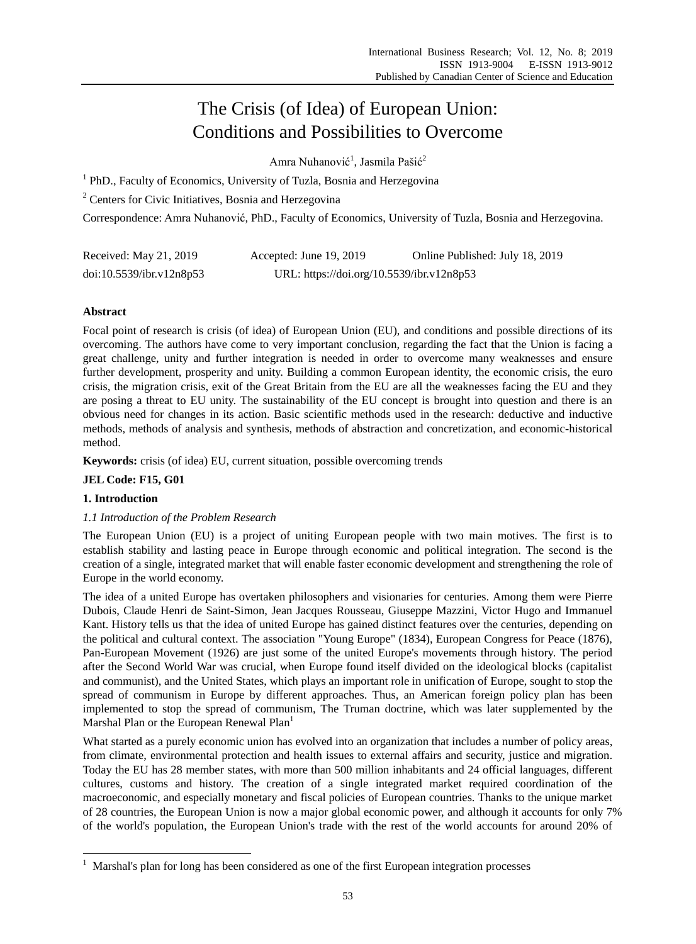# The Crisis (of Idea) of European Union: Conditions and Possibilities to Overcome

Amra Nuhanović<sup>1</sup>, Jasmila Pašić<sup>2</sup>

<sup>1</sup> PhD., Faculty of Economics, University of Tuzla, Bosnia and Herzegovina

<sup>2</sup> Centers for Civic Initiatives, Bosnia and Herzegovina

Correspondence: Amra Nuhanović, PhD., Faculty of Economics, University of Tuzla, Bosnia and Herzegovina.

| Received: May 21, 2019   | Accepted: June 19, 2019                   | Online Published: July 18, 2019 |
|--------------------------|-------------------------------------------|---------------------------------|
| doi:10.5539/ibr.v12n8p53 | URL: https://doi.org/10.5539/ibr.v12n8p53 |                                 |

# **Abstract**

Focal point of research is crisis (of idea) of European Union (EU), and conditions and possible directions of its overcoming. The authors have come to very important conclusion, regarding the fact that the Union is facing a great challenge, unity and further integration is needed in order to overcome many weaknesses and ensure further development, prosperity and unity. Building a common European identity, the economic crisis, the euro crisis, the migration crisis, exit of the Great Britain from the EU are all the weaknesses facing the EU and they are posing a threat to EU unity. The sustainability of the EU concept is brought into question and there is an obvious need for changes in its action. Basic scientific methods used in the research: deductive and inductive methods, methods of analysis and synthesis, methods of abstraction and concretization, and economic-historical method.

**Keywords:** crisis (of idea) EU, current situation, possible overcoming trends

**JEL Code: F15, G01**

## **1. Introduction**

-

# *1.1 Introduction of the Problem Research*

The European Union (EU) is a project of uniting European people with two main motives. The first is to establish stability and lasting peace in Europe through economic and political integration. The second is the creation of a single, integrated market that will enable faster economic development and strengthening the role of Europe in the world economy.

The idea of a united Europe has overtaken philosophers and visionaries for centuries. Among them were Pierre Dubois, Claude Henri de Saint-Simon, Jean Jacques Rousseau, Giuseppe Mazzini, Victor Hugo and Immanuel Kant. History tells us that the idea of united Europe has gained distinct features over the centuries, depending on the political and cultural context. The association "Young Europe" (1834), European Congress for Peace (1876), Pan-European Movement (1926) are just some of the united Europe's movements through history. The period after the Second World War was crucial, when Europe found itself divided on the ideological blocks (capitalist and communist), and the United States, which plays an important role in unification of Europe, sought to stop the spread of communism in Europe by different approaches. Thus, an American foreign policy plan has been implemented to stop the spread of communism, The Truman doctrine, which was later supplemented by the Marshal Plan or the European Renewal Plan<sup>1</sup>

What started as a purely economic union has evolved into an organization that includes a number of policy areas, from climate, environmental protection and health issues to external affairs and security, justice and migration. Today the EU has 28 member states, with more than 500 million inhabitants and 24 official languages, different cultures, customs and history. The creation of a single integrated market required coordination of the macroeconomic, and especially monetary and fiscal policies of European countries. Thanks to the unique market of 28 countries, the European Union is now a major global economic power, and although it accounts for only 7% of the world's population, the European Union's trade with the rest of the world accounts for around 20% of

<sup>&</sup>lt;sup>1</sup> Marshal's plan for long has been considered as one of the first European integration processes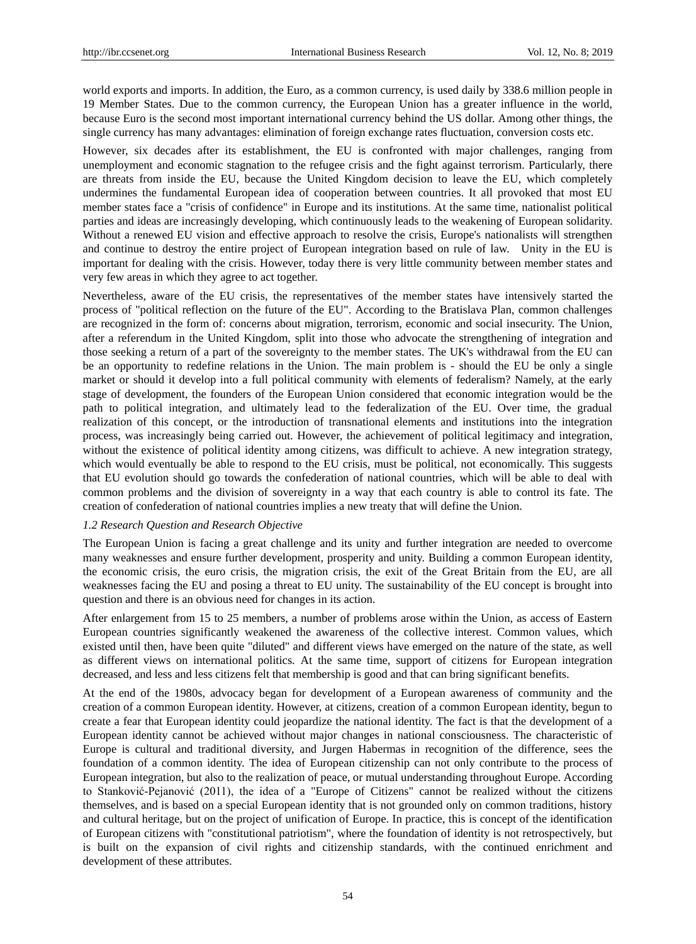world exports and imports. In addition, the Euro, as a common currency, is used daily by 338.6 million people in 19 Member States. Due to the common currency, the European Union has a greater influence in the world, because Euro is the second most important international currency behind the US dollar. Among other things, the single currency has many advantages: elimination of foreign exchange rates fluctuation, conversion costs etc.

However, six decades after its establishment, the EU is confronted with major challenges, ranging from unemployment and economic stagnation to the refugee crisis and the fight against terrorism. Particularly, there are threats from inside the EU, because the United Kingdom decision to leave the EU, which completely undermines the fundamental European idea of cooperation between countries. It all provoked that most EU member states face a "crisis of confidence" in Europe and its institutions. At the same time, nationalist political parties and ideas are increasingly developing, which continuously leads to the weakening of European solidarity. Without a renewed EU vision and effective approach to resolve the crisis, Europe's nationalists will strengthen and continue to destroy the entire project of European integration based on rule of law. Unity in the EU is important for dealing with the crisis. However, today there is very little community between member states and very few areas in which they agree to act together.

Nevertheless, aware of the EU crisis, the representatives of the member states have intensively started the process of "political reflection on the future of the EU". According to the Bratislava Plan, common challenges are recognized in the form of: concerns about migration, terrorism, economic and social insecurity. The Union, after a referendum in the United Kingdom, split into those who advocate the strengthening of integration and those seeking a return of a part of the sovereignty to the member states. The UK's withdrawal from the EU can be an opportunity to redefine relations in the Union. The main problem is - should the EU be only a single market or should it develop into a full political community with elements of federalism? Namely, at the early stage of development, the founders of the European Union considered that economic integration would be the path to political integration, and ultimately lead to the federalization of the EU. Over time, the gradual realization of this concept, or the introduction of transnational elements and institutions into the integration process, was increasingly being carried out. However, the achievement of political legitimacy and integration, without the existence of political identity among citizens, was difficult to achieve. A new integration strategy, which would eventually be able to respond to the EU crisis, must be political, not economically. This suggests that EU evolution should go towards the confederation of national countries, which will be able to deal with common problems and the division of sovereignty in a way that each country is able to control its fate. The creation of confederation of national countries implies a new treaty that will define the Union.

## *1.2 Research Question and Research Objective*

The European Union is facing a great challenge and its unity and further integration are needed to overcome many weaknesses and ensure further development, prosperity and unity. Building a common European identity, the economic crisis, the euro crisis, the migration crisis, the exit of the Great Britain from the EU, are all weaknesses facing the EU and posing a threat to EU unity. The sustainability of the EU concept is brought into question and there is an obvious need for changes in its action.

After enlargement from 15 to 25 members, a number of problems arose within the Union, as access of Eastern European countries significantly weakened the awareness of the collective interest. Common values, which existed until then, have been quite "diluted" and different views have emerged on the nature of the state, as well as different views on international politics. At the same time, support of citizens for European integration decreased, and less and less citizens felt that membership is good and that can bring significant benefits.

At the end of the 1980s, advocacy began for development of a European awareness of community and the creation of a common European identity. However, at citizens, creation of a common European identity, begun to create a fear that European identity could jeopardize the national identity. The fact is that the development of a European identity cannot be achieved without major changes in national consciousness. The characteristic of Europe is cultural and traditional diversity, and Jurgen Habermas in recognition of the difference, sees the foundation of a common identity. The idea of European citizenship can not only contribute to the process of European integration, but also to the realization of peace, or mutual understanding throughout Europe. According to Stanković-Pejanović (2011), the idea of a "Europe of Citizens" cannot be realized without the citizens themselves, and is based on a special European identity that is not grounded only on common traditions, history and cultural heritage, but on the project of unification of Europe. In practice, this is concept of the identification of European citizens with "constitutional patriotism", where the foundation of identity is not retrospectively, but is built on the expansion of civil rights and citizenship standards, with the continued enrichment and development of these attributes.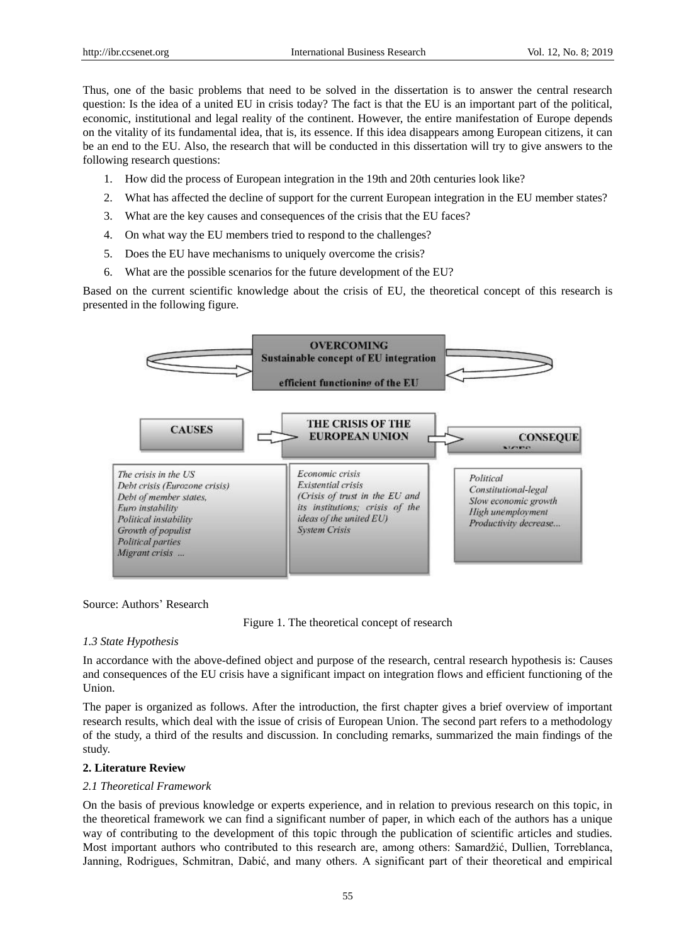Thus, one of the basic problems that need to be solved in the dissertation is to answer the central research question: Is the idea of a united EU in crisis today? The fact is that the EU is an important part of the political, economic, institutional and legal reality of the continent. However, the entire manifestation of Europe depends on the vitality of its fundamental idea, that is, its essence. If this idea disappears among European citizens, it can be an end to the EU. Also, the research that will be conducted in this dissertation will try to give answers to the following research questions:

- 1. How did the process of European integration in the 19th and 20th centuries look like?
- 2. What has affected the decline of support for the current European integration in the EU member states?
- 3. What are the key causes and consequences of the crisis that the EU faces?
- 4. On what way the EU members tried to respond to the challenges?
- 5. Does the EU have mechanisms to uniquely overcome the crisis?
- 6. What are the possible scenarios for the future development of the EU?

Based on the current scientific knowledge about the crisis of EU, the theoretical concept of this research is presented in the following figure.



Source: Authors' Research

Figure 1. The theoretical concept of research

### *1.3 State Hypothesis*

In accordance with the above-defined object and purpose of the research, central research hypothesis is: Causes and consequences of the EU crisis have a significant impact on integration flows and efficient functioning of the Union.

The paper is organized as follows. After the introduction, the first chapter gives a brief overview of important research results, which deal with the issue of crisis of European Union. The second part refers to a methodology of the study, a third of the results and discussion. In concluding remarks, summarized the main findings of the study.

### **2. Literature Review**

## *2.1 Theoretical Framework*

On the basis of previous knowledge or experts experience, and in relation to previous research on this topic, in the theoretical framework we can find a significant number of paper, in which each of the authors has a unique way of contributing to the development of this topic through the publication of scientific articles and studies. Most important authors who contributed to this research are, among others: Samardžić, Dullien, Torreblanca, Janning, Rodrigues, Schmitran, Dabić, and many others. A significant part of their theoretical and empirical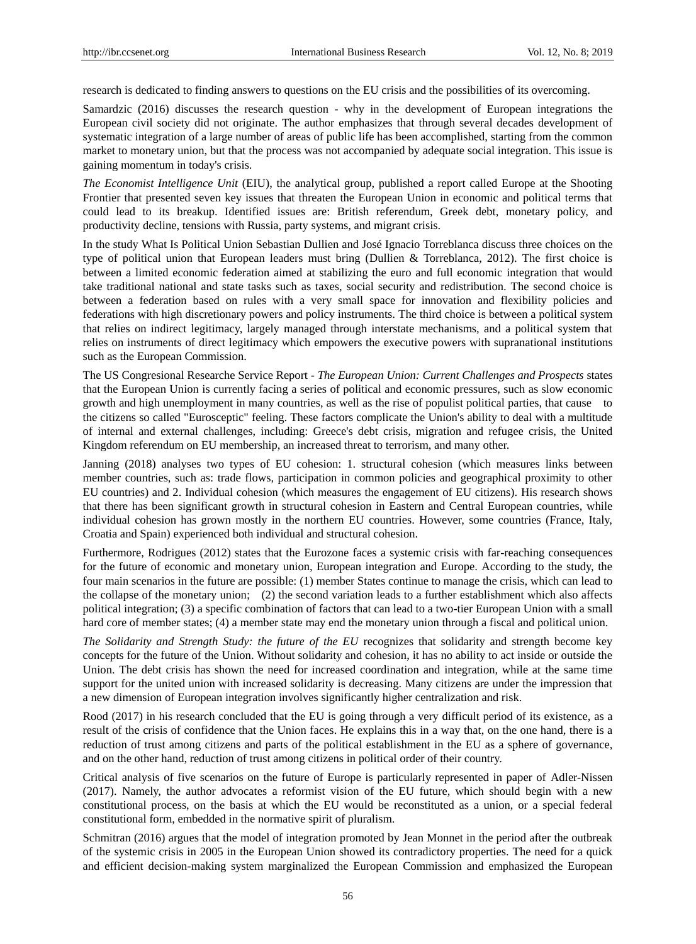research is dedicated to finding answers to questions on the EU crisis and the possibilities of its overcoming.

Samardzic (2016) discusses the research question - why in the development of European integrations the European civil society did not originate. The author emphasizes that through several decades development of systematic integration of a large number of areas of public life has been accomplished, starting from the common market to monetary union, but that the process was not accompanied by adequate social integration. This issue is gaining momentum in today's crisis.

*The Economist Intelligence Unit* (EIU), the analytical group, published a report called Europe at the Shooting Frontier that presented seven key issues that threaten the European Union in economic and political terms that could lead to its breakup. Identified issues are: British referendum, Greek debt, monetary policy, and productivity decline, tensions with Russia, party systems, and migrant crisis.

In the study What Is Political Union Sebastian Dullien and José Ignacio Torreblanca discuss three choices on the type of political union that European leaders must bring (Dullien & Torreblanca, 2012). The first choice is between a limited economic federation aimed at stabilizing the euro and full economic integration that would take traditional national and state tasks such as taxes, social security and redistribution. The second choice is between a federation based on rules with a very small space for innovation and flexibility policies and federations with high discretionary powers and policy instruments. The third choice is between a political system that relies on indirect legitimacy, largely managed through interstate mechanisms, and a political system that relies on instruments of direct legitimacy which empowers the executive powers with supranational institutions such as the European Commission.

The US Congresional Researche Service Report - *The European Union: Current Challenges and Prospects* states that the European Union is currently facing a series of political and economic pressures, such as slow economic growth and high unemployment in many countries, as well as the rise of populist political parties, that cause to the citizens so called "Eurosceptic" feeling. These factors complicate the Union's ability to deal with a multitude of internal and external challenges, including: Greece's debt crisis, migration and refugee crisis, the United Kingdom referendum on EU membership, an increased threat to terrorism, and many other.

Janning (2018) analyses two types of EU cohesion: 1. structural cohesion (which measures links between member countries, such as: trade flows, participation in common policies and geographical proximity to other EU countries) and 2. Individual cohesion (which measures the engagement of EU citizens). His research shows that there has been significant growth in structural cohesion in Eastern and Central European countries, while individual cohesion has grown mostly in the northern EU countries. However, some countries (France, Italy, Croatia and Spain) experienced both individual and structural cohesion.

Furthermore, Rodrigues (2012) states that the Eurozone faces a systemic crisis with far-reaching consequences for the future of economic and monetary union, European integration and Europe. According to the study, the four main scenarios in the future are possible: (1) member States continue to manage the crisis, which can lead to the collapse of the monetary union; (2) the second variation leads to a further establishment which also affects political integration; (3) a specific combination of factors that can lead to a two-tier European Union with a small hard core of member states; (4) a member state may end the monetary union through a fiscal and political union.

*The Solidarity and Strength Study: the future of the EU* recognizes that solidarity and strength become key concepts for the future of the Union. Without solidarity and cohesion, it has no ability to act inside or outside the Union. The debt crisis has shown the need for increased coordination and integration, while at the same time support for the united union with increased solidarity is decreasing. Many citizens are under the impression that a new dimension of European integration involves significantly higher centralization and risk.

Rood (2017) in his research concluded that the EU is going through a very difficult period of its existence, as a result of the crisis of confidence that the Union faces. He explains this in a way that, on the one hand, there is a reduction of trust among citizens and parts of the political establishment in the EU as a sphere of governance, and on the other hand, reduction of trust among citizens in political order of their country.

Critical analysis of five scenarios on the future of Europe is particularly represented in paper of Adler-Nissen (2017). Namely, the author advocates a reformist vision of the EU future, which should begin with a new constitutional process, on the basis at which the EU would be reconstituted as a union, or a special federal constitutional form, embedded in the normative spirit of pluralism.

Schmitran (2016) argues that the model of integration promoted by Jean Monnet in the period after the outbreak of the systemic crisis in 2005 in the European Union showed its contradictory properties. The need for a quick and efficient decision-making system marginalized the European Commission and emphasized the European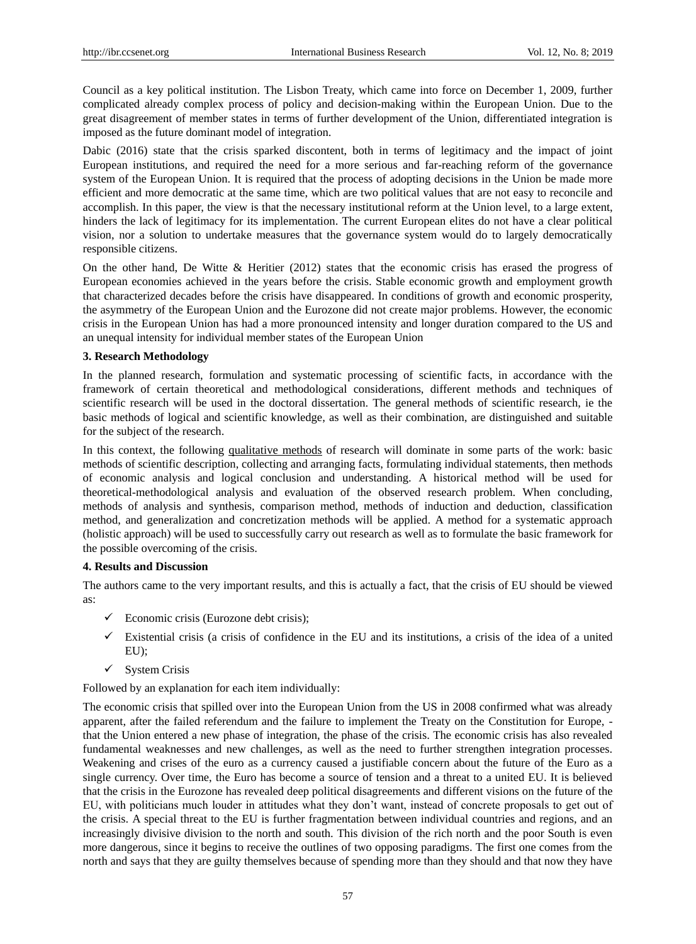Council as a key political institution. The Lisbon Treaty, which came into force on December 1, 2009, further complicated already complex process of policy and decision-making within the European Union. Due to the great disagreement of member states in terms of further development of the Union, differentiated integration is imposed as the future dominant model of integration.

Dabic (2016) state that the crisis sparked discontent, both in terms of legitimacy and the impact of joint European institutions, and required the need for a more serious and far-reaching reform of the governance system of the European Union. It is required that the process of adopting decisions in the Union be made more efficient and more democratic at the same time, which are two political values that are not easy to reconcile and accomplish. In this paper, the view is that the necessary institutional reform at the Union level, to a large extent, hinders the lack of legitimacy for its implementation. The current European elites do not have a clear political vision, nor a solution to undertake measures that the governance system would do to largely democratically responsible citizens.

On the other hand, De Witte & Heritier (2012) states that the economic crisis has erased the progress of European economies achieved in the years before the crisis. Stable economic growth and employment growth that characterized decades before the crisis have disappeared. In conditions of growth and economic prosperity, the asymmetry of the European Union and the Eurozone did not create major problems. However, the economic crisis in the European Union has had a more pronounced intensity and longer duration compared to the US and an unequal intensity for individual member states of the European Union

## **3. Research Methodology**

In the planned research, formulation and systematic processing of scientific facts, in accordance with the framework of certain theoretical and methodological considerations, different methods and techniques of scientific research will be used in the doctoral dissertation. The general methods of scientific research, ie the basic methods of logical and scientific knowledge, as well as their combination, are distinguished and suitable for the subject of the research.

In this context, the following qualitative methods of research will dominate in some parts of the work: basic methods of scientific description, collecting and arranging facts, formulating individual statements, then methods of economic analysis and logical conclusion and understanding. A historical method will be used for theoretical-methodological analysis and evaluation of the observed research problem. When concluding, methods of analysis and synthesis, comparison method, methods of induction and deduction, classification method, and generalization and concretization methods will be applied. A method for a systematic approach (holistic approach) will be used to successfully carry out research as well as to formulate the basic framework for the possible overcoming of the crisis.

# **4. Results and Discussion**

The authors came to the very important results, and this is actually a fact, that the crisis of EU should be viewed as:

- $\checkmark$  Economic crisis (Eurozone debt crisis);
- $\checkmark$  Existential crisis (a crisis of confidence in the EU and its institutions, a crisis of the idea of a united EU);
- $\checkmark$  System Crisis

Followed by an explanation for each item individually:

The economic crisis that spilled over into the European Union from the US in 2008 confirmed what was already apparent, after the failed referendum and the failure to implement the Treaty on the Constitution for Europe, that the Union entered a new phase of integration, the phase of the crisis. The economic crisis has also revealed fundamental weaknesses and new challenges, as well as the need to further strengthen integration processes. Weakening and crises of the euro as a currency caused a justifiable concern about the future of the Euro as a single currency. Over time, the Euro has become a source of tension and a threat to a united EU. It is believed that the crisis in the Eurozone has revealed deep political disagreements and different visions on the future of the EU, with politicians much louder in attitudes what they don't want, instead of concrete proposals to get out of the crisis. A special threat to the EU is further fragmentation between individual countries and regions, and an increasingly divisive division to the north and south. This division of the rich north and the poor South is even more dangerous, since it begins to receive the outlines of two opposing paradigms. The first one comes from the north and says that they are guilty themselves because of spending more than they should and that now they have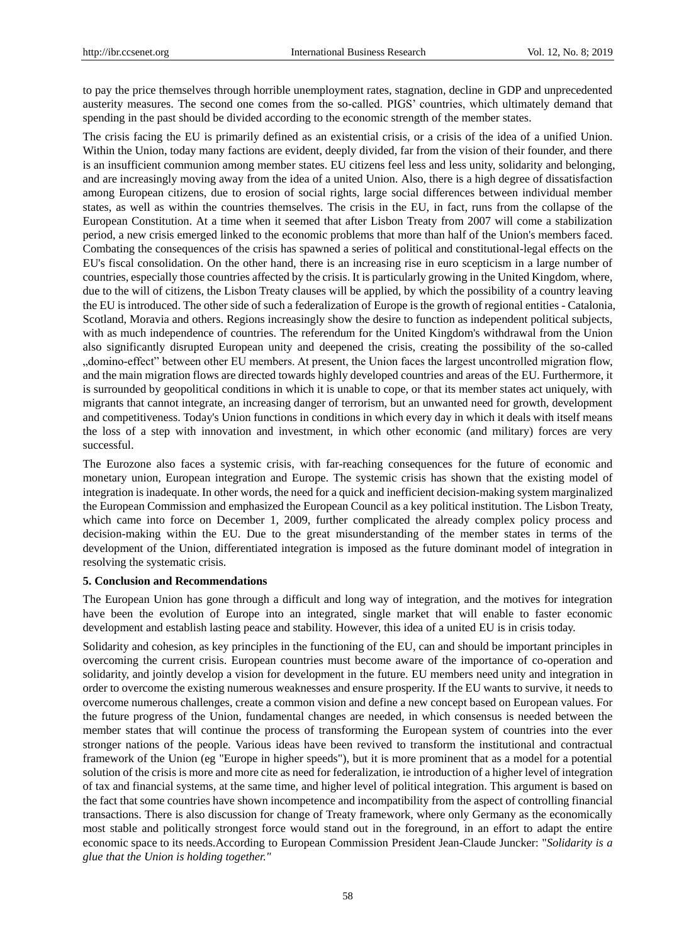to pay the price themselves through horrible unemployment rates, stagnation, decline in GDP and unprecedented austerity measures. The second one comes from the so-called. PIGS' countries, which ultimately demand that spending in the past should be divided according to the economic strength of the member states.

The crisis facing the EU is primarily defined as an existential crisis, or a crisis of the idea of a unified Union. Within the Union, today many factions are evident, deeply divided, far from the vision of their founder, and there is an insufficient communion among member states. EU citizens feel less and less unity, solidarity and belonging, and are increasingly moving away from the idea of a united Union. Also, there is a high degree of dissatisfaction among European citizens, due to erosion of social rights, large social differences between individual member states, as well as within the countries themselves. The crisis in the EU, in fact, runs from the collapse of the European Constitution. At a time when it seemed that after Lisbon Treaty from 2007 will come a stabilization period, a new crisis emerged linked to the economic problems that more than half of the Union's members faced. Combating the consequences of the crisis has spawned a series of political and constitutional-legal effects on the EU's fiscal consolidation. On the other hand, there is an increasing rise in euro scepticism in a large number of countries, especially those countries affected by the crisis. It is particularly growing in the United Kingdom, where, due to the will of citizens, the Lisbon Treaty clauses will be applied, by which the possibility of a country leaving the EU is introduced. The other side of such a federalization of Europe is the growth of regional entities - Catalonia, Scotland, Moravia and others. Regions increasingly show the desire to function as independent political subjects, with as much independence of countries. The referendum for the United Kingdom's withdrawal from the Union also significantly disrupted European unity and deepened the crisis, creating the possibility of the so-called "domino-effect" between other EU members. At present, the Union faces the largest uncontrolled migration flow, and the main migration flows are directed towards highly developed countries and areas of the EU. Furthermore, it is surrounded by geopolitical conditions in which it is unable to cope, or that its member states act uniquely, with migrants that cannot integrate, an increasing danger of terrorism, but an unwanted need for growth, development and competitiveness. Today's Union functions in conditions in which every day in which it deals with itself means the loss of a step with innovation and investment, in which other economic (and military) forces are very successful.

The Eurozone also faces a systemic crisis, with far-reaching consequences for the future of economic and monetary union, European integration and Europe. The systemic crisis has shown that the existing model of integration is inadequate. In other words, the need for a quick and inefficient decision-making system marginalized the European Commission and emphasized the European Council as a key political institution. The Lisbon Treaty, which came into force on December 1, 2009, further complicated the already complex policy process and decision-making within the EU. Due to the great misunderstanding of the member states in terms of the development of the Union, differentiated integration is imposed as the future dominant model of integration in resolving the systematic crisis.

## **5. Conclusion and Recommendations**

The European Union has gone through a difficult and long way of integration, and the motives for integration have been the evolution of Europe into an integrated, single market that will enable to faster economic development and establish lasting peace and stability. However, this idea of a united EU is in crisis today.

Solidarity and cohesion, as key principles in the functioning of the EU, can and should be important principles in overcoming the current crisis. European countries must become aware of the importance of co-operation and solidarity, and jointly develop a vision for development in the future. EU members need unity and integration in order to overcome the existing numerous weaknesses and ensure prosperity. If the EU wants to survive, it needs to overcome numerous challenges, create a common vision and define a new concept based on European values. For the future progress of the Union, fundamental changes are needed, in which consensus is needed between the member states that will continue the process of transforming the European system of countries into the ever stronger nations of the people. Various ideas have been revived to transform the institutional and contractual framework of the Union (eg "Europe in higher speeds"), but it is more prominent that as a model for a potential solution of the crisis is more and more cite as need for federalization, ie introduction of a higher level of integration of tax and financial systems, at the same time, and higher level of political integration. This argument is based on the fact that some countries have shown incompetence and incompatibility from the aspect of controlling financial transactions. There is also discussion for change of Treaty framework, where only Germany as the economically most stable and politically strongest force would stand out in the foreground, in an effort to adapt the entire economic space to its needs.According to European Commission President Jean-Claude Juncker: "*Solidarity is a glue that the Union is holding together."*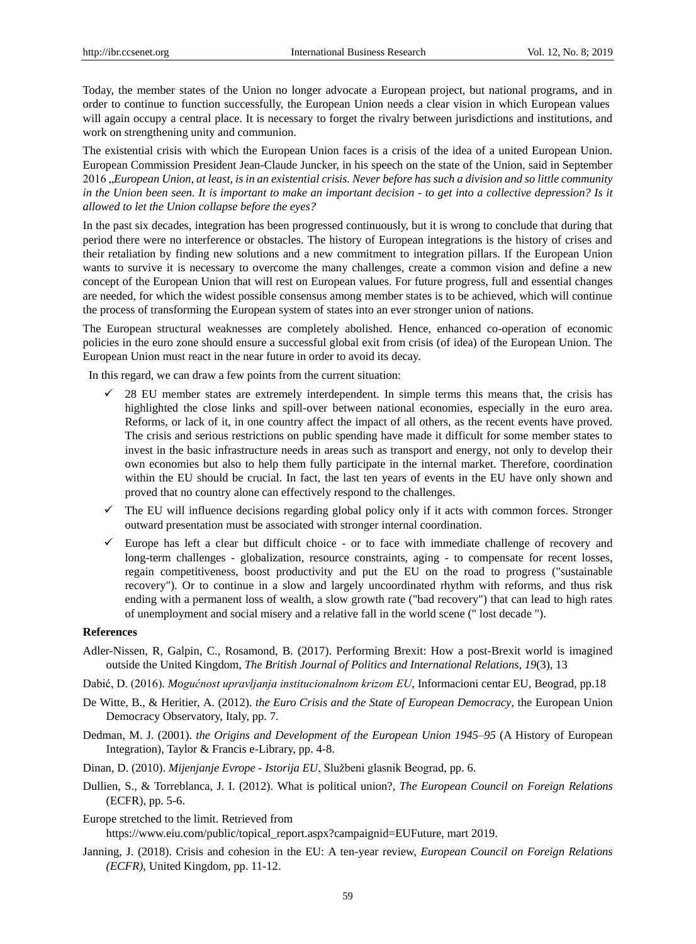Today, the member states of the Union no longer advocate a European project, but national programs, and in order to continue to function successfully, the European Union needs a clear vision in which European values will again occupy a central place. It is necessary to forget the rivalry between jurisdictions and institutions, and work on strengthening unity and communion.

The existential crisis with which the European Union faces is a crisis of the idea of a united European Union. European Commission President Jean-Claude Juncker, in his speech on the state of the Union, said in September 2016 "*European Union, at least, is in an existential crisis. Never before has such a division and so little community in the Union been seen. It is important to make an important decision - to get into a collective depression? Is it allowed to let the Union collapse before the eyes?*

In the past six decades, integration has been progressed continuously, but it is wrong to conclude that during that period there were no interference or obstacles. The history of European integrations is the history of crises and their retaliation by finding new solutions and a new commitment to integration pillars. If the European Union wants to survive it is necessary to overcome the many challenges, create a common vision and define a new concept of the European Union that will rest on European values. For future progress, full and essential changes are needed, for which the widest possible consensus among member states is to be achieved, which will continue the process of transforming the European system of states into an ever stronger union of nations.

The European structural weaknesses are completely abolished. Hence, enhanced co-operation of economic policies in the euro zone should ensure a successful global exit from crisis (of idea) of the European Union. The European Union must react in the near future in order to avoid its decay.

In this regard, we can draw a few points from the current situation:

- 28 EU member states are extremely interdependent. In simple terms this means that, the crisis has highlighted the close links and spill-over between national economies, especially in the euro area. Reforms, or lack of it, in one country affect the impact of all others, as the recent events have proved. The crisis and serious restrictions on public spending have made it difficult for some member states to invest in the basic infrastructure needs in areas such as transport and energy, not only to develop their own economies but also to help them fully participate in the internal market. Therefore, coordination within the EU should be crucial. In fact, the last ten years of events in the EU have only shown and proved that no country alone can effectively respond to the challenges.
- $\checkmark$  The EU will influence decisions regarding global policy only if it acts with common forces. Stronger outward presentation must be associated with stronger internal coordination.
- $\checkmark$  Europe has left a clear but difficult choice or to face with immediate challenge of recovery and long-term challenges - globalization, resource constraints, aging - to compensate for recent losses, regain competitiveness, boost productivity and put the EU on the road to progress ("sustainable recovery"). Or to continue in a slow and largely uncoordinated rhythm with reforms, and thus risk ending with a permanent loss of wealth, a slow growth rate ("bad recovery") that can lead to high rates of unemployment and social misery and a relative fall in the world scene (" lost decade ").

#### **References**

- Adler-Nissen, R, Galpin, C., Rosamond, B. (2017). Performing Brexit: How a post-Brexit world is imagined outside the United Kingdom, *The British Journal of Politics and International Relations*, *19*(3), 13
- Dabić, D. (2016). *Mogućnost upravljanja institucionalnom krizom EU*, Informacioni centar EU, Beograd, pp.18
- De Witte, B., & Heritier, A. (2012). *the Euro Crisis and the State of European Democracy*, the European Union Democracy Observatory, Italy, pp. 7.
- Dedman, M. J. (2001). *the Origins and Development of the European Union 1945–95* (A History of European Integration), Taylor & Francis e-Library, pp. 4-8.
- Dinan, D. (2010). *Mijenjanje Evrope - Istorija EU*, Službeni glasnik Beograd, pp. 6.
- Dullien, S., & Torreblanca, J. I. (2012). What is political union?, *The European Council on Foreign Relations* (ECFR), pp. 5-6.

Europe stretched to the limit. Retrieved from [https://www.eiu.com/public/topical\\_report.aspx?campaignid=EUFuture,](https://www.eiu.com/public/topical_report.aspx?campaignid=EUFuture) mart 2019.

Janning, J. (2018). Crisis and cohesion in the EU: A ten-year review, *European Council on Foreign Relations (ECFR)*, United Kingdom, pp. 11-12.